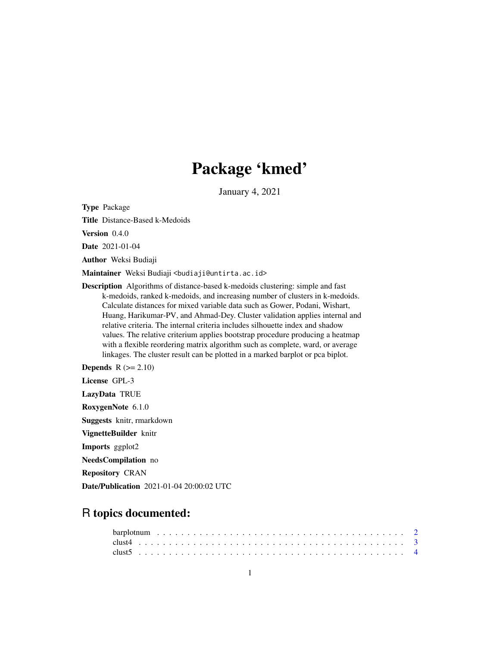# Package 'kmed'

January 4, 2021

Type Package

Title Distance-Based k-Medoids

Version 0.4.0

Date 2021-01-04

Author Weksi Budiaji

Maintainer Weksi Budiaji <br/>budiaji@untirta.ac.id>

Description Algorithms of distance-based k-medoids clustering: simple and fast k-medoids, ranked k-medoids, and increasing number of clusters in k-medoids. Calculate distances for mixed variable data such as Gower, Podani, Wishart, Huang, Harikumar-PV, and Ahmad-Dey. Cluster validation applies internal and relative criteria. The internal criteria includes silhouette index and shadow values. The relative criterium applies bootstrap procedure producing a heatmap with a flexible reordering matrix algorithm such as complete, ward, or average linkages. The cluster result can be plotted in a marked barplot or pca biplot.

**Depends**  $R$  ( $>= 2.10$ )

License GPL-3

LazyData TRUE

RoxygenNote 6.1.0

Suggests knitr, rmarkdown

VignetteBuilder knitr

Imports ggplot2

NeedsCompilation no

Repository CRAN

Date/Publication 2021-01-04 20:00:02 UTC

# R topics documented: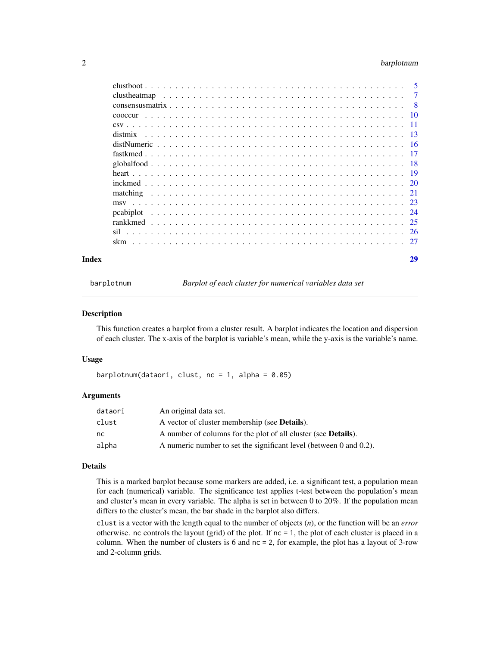# <span id="page-1-0"></span>2 barplotnum

| Index |                                                                                                            | 29 |
|-------|------------------------------------------------------------------------------------------------------------|----|
|       |                                                                                                            |    |
|       |                                                                                                            |    |
|       |                                                                                                            |    |
|       |                                                                                                            |    |
|       |                                                                                                            |    |
|       |                                                                                                            |    |
|       |                                                                                                            |    |
|       |                                                                                                            |    |
|       |                                                                                                            |    |
|       |                                                                                                            |    |
|       |                                                                                                            |    |
|       |                                                                                                            |    |
|       |                                                                                                            |    |
|       |                                                                                                            |    |
|       |                                                                                                            |    |
|       | clust heatmap $\ldots \ldots \ldots \ldots \ldots \ldots \ldots \ldots \ldots \ldots \ldots \ldots \ldots$ | -7 |
|       |                                                                                                            |    |

barplotnum *Barplot of each cluster for numerical variables data set*

# Description

This function creates a barplot from a cluster result. A barplot indicates the location and dispersion of each cluster. The x-axis of the barplot is variable's mean, while the y-axis is the variable's name.

# Usage

barplotnum(dataori, clust,  $nc = 1$ , alpha = 0.05)

# Arguments

| dataori | An original data set.                                                  |
|---------|------------------------------------------------------------------------|
| clust   | A vector of cluster membership (see <b>Details</b> ).                  |
| nc.     | A number of columns for the plot of all cluster (see <b>Details</b> ). |
| alpha   | A numeric number to set the significant level (between 0 and 0.2).     |

# Details

This is a marked barplot because some markers are added, i.e. a significant test, a population mean for each (numerical) variable. The significance test applies t-test between the population's mean and cluster's mean in every variable. The alpha is set in between 0 to 20%. If the population mean differs to the cluster's mean, the bar shade in the barplot also differs.

clust is a vector with the length equal to the number of objects (*n*), or the function will be an *error* otherwise. nc controls the layout (grid) of the plot. If nc = 1, the plot of each cluster is placed in a column. When the number of clusters is 6 and nc = 2, for example, the plot has a layout of 3-row and 2-column grids.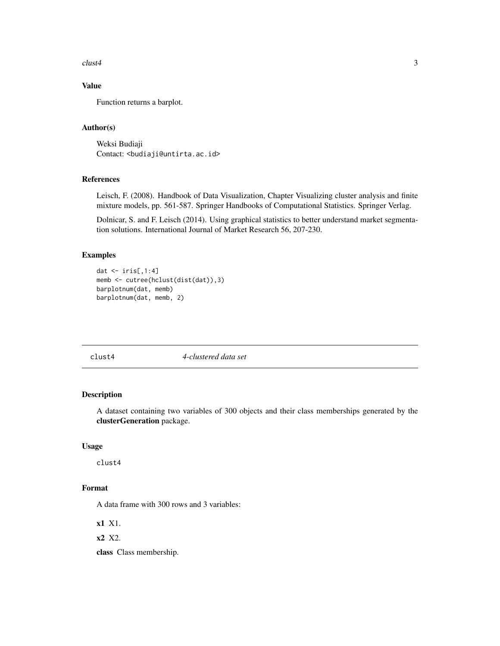<span id="page-2-0"></span> $\frac{1}{3}$ 

# Value

Function returns a barplot.

# Author(s)

Weksi Budiaji Contact: <br/>budiaji@untirta.ac.id>

# References

Leisch, F. (2008). Handbook of Data Visualization, Chapter Visualizing cluster analysis and finite mixture models, pp. 561-587. Springer Handbooks of Computational Statistics. Springer Verlag.

Dolnicar, S. and F. Leisch (2014). Using graphical statistics to better understand market segmentation solutions. International Journal of Market Research 56, 207-230.

# Examples

```
dat \le iris[,1:4]
memb <- cutree(hclust(dist(dat)),3)
barplotnum(dat, memb)
barplotnum(dat, memb, 2)
```
clust4 *4-clustered data set*

# Description

A dataset containing two variables of 300 objects and their class memberships generated by the clusterGeneration package.

#### Usage

clust4

# Format

A data frame with 300 rows and 3 variables:

x1 X1.

x2 X2.

class Class membership.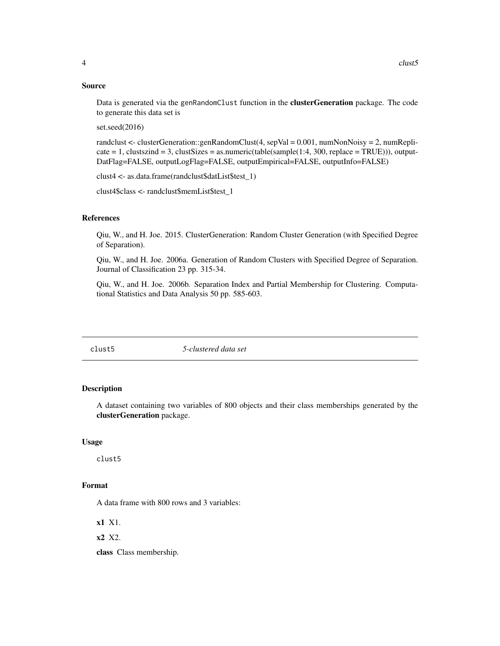# <span id="page-3-0"></span>Source

Data is generated via the genRandomClust function in the clusterGeneration package. The code to generate this data set is

set.seed(2016)

randclust <- clusterGeneration::genRandomClust(4, sepVal = 0.001, numNonNoisy = 2, numRepli- $\text{cate} = 1$ , clustszind = 3, clustSizes = as.numeric(table(sample(1:4, 300, replace = TRUE))), output-DatFlag=FALSE, outputLogFlag=FALSE, outputEmpirical=FALSE, outputInfo=FALSE)

clust4 <- as.data.frame(randclust\$datList\$test\_1)

clust4\$class <- randclust\$memList\$test\_1

# References

Qiu, W., and H. Joe. 2015. ClusterGeneration: Random Cluster Generation (with Specified Degree of Separation).

Qiu, W., and H. Joe. 2006a. Generation of Random Clusters with Specified Degree of Separation. Journal of Classification 23 pp. 315-34.

Qiu, W., and H. Joe. 2006b. Separation Index and Partial Membership for Clustering. Computational Statistics and Data Analysis 50 pp. 585-603.

clust5 *5-clustered data set*

# Description

A dataset containing two variables of 800 objects and their class memberships generated by the clusterGeneration package.

# Usage

clust5

# Format

A data frame with 800 rows and 3 variables:

x1 X1.

x2 X2.

class Class membership.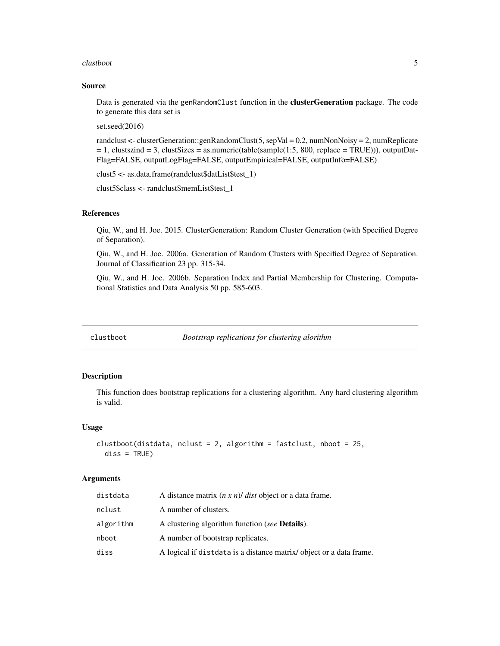#### <span id="page-4-0"></span>clustboot 5

# Source

Data is generated via the genRandomClust function in the clusterGeneration package. The code to generate this data set is

set.seed(2016)

randclust <- clusterGeneration::genRandomClust(5, sepVal = 0.2, numNonNoisy = 2, numReplicate  $= 1$ , clustszind  $= 3$ , clustSizes  $=$  as.numeric(table(sample(1:5, 800, replace  $=$  TRUE))), outputDat-Flag=FALSE, outputLogFlag=FALSE, outputEmpirical=FALSE, outputInfo=FALSE)

clust5 <- as.data.frame(randclust\$datList\$test\_1)

clust5\$class <- randclust\$memList\$test\_1

# References

Qiu, W., and H. Joe. 2015. ClusterGeneration: Random Cluster Generation (with Specified Degree of Separation).

Qiu, W., and H. Joe. 2006a. Generation of Random Clusters with Specified Degree of Separation. Journal of Classification 23 pp. 315-34.

Qiu, W., and H. Joe. 2006b. Separation Index and Partial Membership for Clustering. Computational Statistics and Data Analysis 50 pp. 585-603.

<span id="page-4-1"></span>clustboot *Bootstrap replications for clustering alorithm*

# **Description**

This function does bootstrap replications for a clustering algorithm. Any hard clustering algorithm is valid.

#### Usage

```
clustboot(distdata, nclust = 2, algorithm = fastclust, nboot = 25,
  diss = TRUE)
```
# Arguments

| distdata  | A distance matrix $(n \times n)$ <i>dist</i> object or a data frame. |
|-----------|----------------------------------------------------------------------|
| nclust    | A number of clusters.                                                |
| algorithm | A clustering algorithm function (see <b>Details</b> ).               |
| nboot     | A number of bootstrap replicates.                                    |
| diss      | A logical if distdata is a distance matrix/object or a data frame.   |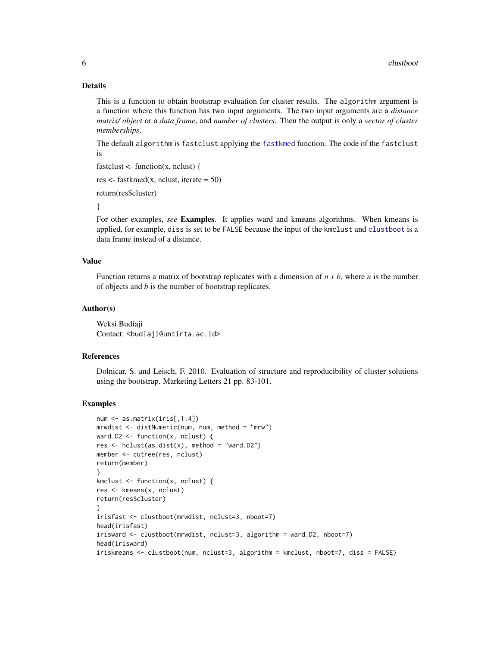# Details

This is a function to obtain bootstrap evaluation for cluster results. The algorithm argument is a function where this function has two input arguments. The two input arguments are a *distance matrix/ object* or a *data frame*, and *number of clusters*. Then the output is only a *vector of cluster memberships*.

The default algorithm is fastclust applying the [fastkmed](#page-16-1) function. The code of the fastclust is

fastclust  $\lt$ - function(x, nclust) {

res  $\le$ - fastkmed(x, nclust, iterate = 50)

return(res\$cluster)

}

For other examples, *see* Examples. It applies ward and kmeans algorithms. When kmeans is applied, for example, diss is set to be FALSE because the input of the kmclust and [clustboot](#page-4-1) is a data frame instead of a distance.

# Value

Function returns a matrix of bootstrap replicates with a dimension of *n x b*, where *n* is the number of objects and *b* is the number of bootstrap replicates.

# Author(s)

Weksi Budiaji Contact: <br/>budiaji@untirta.ac.id>

# References

Dolnicar, S. and Leisch, F. 2010. Evaluation of structure and reproducibility of cluster solutions using the bootstrap. Marketing Letters 21 pp. 83-101.

# Examples

```
num <- as.matrix(iris[,1:4])
mrwdist <- distNumeric(num, num, method = "mrw")
ward.D2 \leq function(x, nclust) {
res \le hclust(as.dist(x), method = "ward.D2")
member <- cutree(res, nclust)
return(member)
}
kmclust \leq function(x, nclust) {
res <- kmeans(x, nclust)
return(res$cluster)
}
irisfast <- clustboot(mrwdist, nclust=3, nboot=7)
head(irisfast)
irisward <- clustboot(mrwdist, nclust=3, algorithm = ward.D2, nboot=7)
head(irisward)
iriskmeans <- clustboot(num, nclust=3, algorithm = kmclust, nboot=7, diss = FALSE)
```
<span id="page-5-0"></span>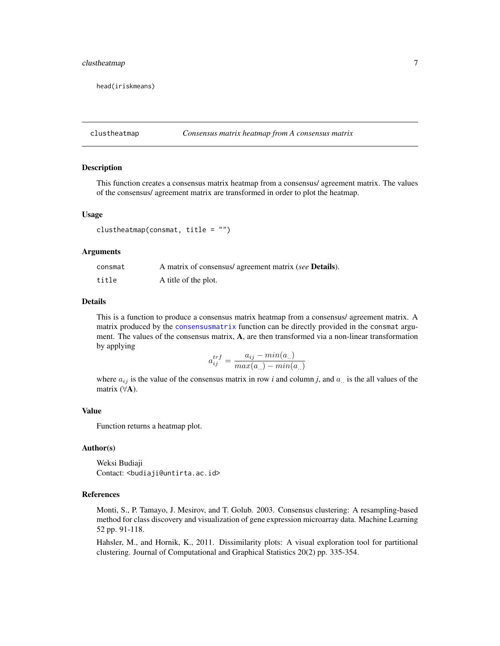# <span id="page-6-0"></span>clustheatmap 7 7

head(iriskmeans)

clustheatmap *Consensus matrix heatmap from A consensus matrix*

# Description

This function creates a consensus matrix heatmap from a consensus/ agreement matrix. The values of the consensus/ agreement matrix are transformed in order to plot the heatmap.

# Usage

clustheatmap(consmat, title =  $"$ )

# Arguments

| consmat | A matrix of consensus/ agreement matrix (see <b>Details</b> ). |
|---------|----------------------------------------------------------------|
| title   | A title of the plot.                                           |

# Details

This is a function to produce a consensus matrix heatmap from a consensus/ agreement matrix. A matrix produced by the [consensusmatrix](#page-7-1) function can be directly provided in the consmat argument. The values of the consensus matrix, A, are then transformed via a non-linear transformation by applying

$$
a_{ij}^{trf} = \frac{a_{ij} - min(a_{..})}{max(a_{..}) - min(a_{..})}
$$

where  $a_{ij}$  is the value of the consensus matrix in row *i* and column *j*, and  $a_{ii}$  is the all values of the matrix (∀A).

#### Value

Function returns a heatmap plot.

#### Author(s)

Weksi Budiaji Contact: <br/>budiaji@untirta.ac.id>

#### References

Monti, S., P. Tamayo, J. Mesirov, and T. Golub. 2003. Consensus clustering: A resampling-based method for class discovery and visualization of gene expression microarray data. Machine Learning 52 pp. 91-118.

Hahsler, M., and Hornik, K., 2011. Dissimilarity plots: A visual exploration tool for partitional clustering. Journal of Computational and Graphical Statistics 20(2) pp. 335-354.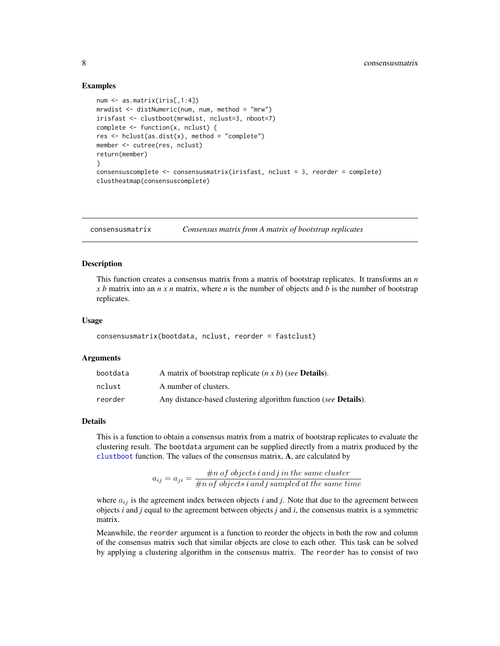# Examples

```
num <- as.matrix(iris[,1:4])
mrwdist <- distNumeric(num, num, method = "mrw")
irisfast <- clustboot(mrwdist, nclust=3, nboot=7)
complete <- function(x, nclust) {
res <- hclust(as.dist(x), method = "complete")
member <- cutree(res, nclust)
return(member)
}
consensuscomplete <- consensusmatrix(irisfast, nclust = 3, reorder = complete)
clustheatmap(consensuscomplete)
```
<span id="page-7-1"></span>consensusmatrix *Consensus matrix from A matrix of bootstrap replicates*

# Description

This function creates a consensus matrix from a matrix of bootstrap replicates. It transforms an *n x b* matrix into an *n x n* matrix, where *n* is the number of objects and *b* is the number of bootstrap replicates.

#### Usage

consensusmatrix(bootdata, nclust, reorder = fastclust)

#### Arguments

| bootdata | A matrix of bootstrap replicate $(n \times b)$ (see <b>Details</b> ).   |
|----------|-------------------------------------------------------------------------|
| nclust   | A number of clusters.                                                   |
| reorder  | Any distance-based clustering algorithm function (see <b>Details</b> ). |

# Details

This is a function to obtain a consensus matrix from a matrix of bootstrap replicates to evaluate the clustering result. The bootdata argument can be supplied directly from a matrix produced by the [clustboot](#page-4-1) function. The values of the consensus matrix, A, are calculated by

> $a_{ij} = a_{ji} = \frac{\#n \text{ of objects } i \text{ and } j \text{ in the same cluster}}{\#n \text{ of the distinct } i \text{ and } j \text{ is small at the same filter}}$ #n of objects *i* and *j* sampled at the same time

where  $a_{ij}$  is the agreement index between objects  $i$  and  $j$ . Note that due to the agreement between objects *i* and *j* equal to the agreement between objects *j* and *i*, the consensus matrix is a symmetric matrix.

Meanwhile, the reorder argument is a function to reorder the objects in both the row and column of the consensus matrix such that similar objects are close to each other. This task can be solved by applying a clustering algorithm in the consensus matrix. The reorder has to consist of two

<span id="page-7-0"></span>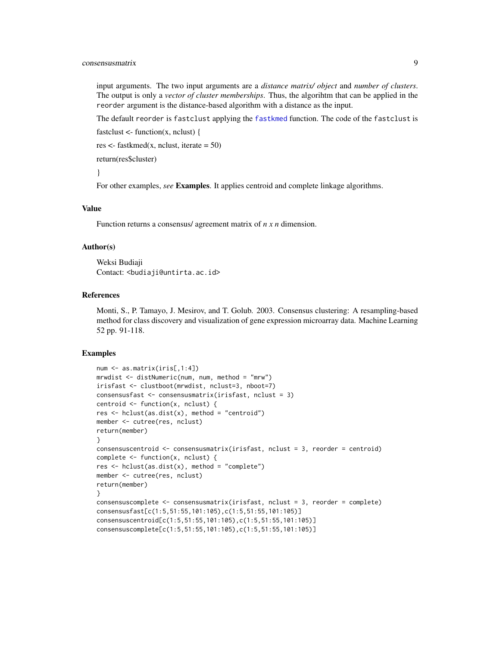<span id="page-8-0"></span>input arguments. The two input arguments are a *distance matrix/ object* and *number of clusters*. The output is only a *vector of cluster memberships*. Thus, the algorihtm that can be applied in the reorder argument is the distance-based algorithm with a distance as the input.

The default reorder is fastclust applying the [fastkmed](#page-16-1) function. The code of the fastclust is

```
fastclust \lt- function(x, nclust) {
```
res  $\le$  fastkmed(x, nclust, iterate = 50)

return(res\$cluster)

}

For other examples, *see* Examples. It applies centroid and complete linkage algorithms.

#### Value

Function returns a consensus/ agreement matrix of *n x n* dimension.

# Author(s)

Weksi Budiaji Contact: <br/>budiaji@untirta.ac.id>

# References

Monti, S., P. Tamayo, J. Mesirov, and T. Golub. 2003. Consensus clustering: A resampling-based method for class discovery and visualization of gene expression microarray data. Machine Learning 52 pp. 91-118.

# Examples

```
num <- as.matrix(iris[,1:4])
mrwdist <- distNumeric(num, num, method = "mrw")
irisfast <- clustboot(mrwdist, nclust=3, nboot=7)
consensusfast <- consensusmatrix(irisfast, nclust = 3)
centroid <- function(x, nclust) {
res \leq hclust(as.dist(x), method = "centroid")
member <- cutree(res, nclust)
return(member)
}
consensuscentroid <- consensusmatrix(irisfast, nclust = 3, reorder = centroid)
complete <- function(x, nclust) {
res \leq hclust(as.dist(x), method = "complete")
member <- cutree(res, nclust)
return(member)
}
consensuscomplete <- consensusmatrix(irisfast, nclust = 3, reorder = complete)
consensusfast[c(1:5,51:55,101:105),c(1:5,51:55,101:105)]
consensuscentroid[c(1:5,51:55,101:105),c(1:5,51:55,101:105)]
consensuscomplete[c(1:5,51:55,101:105),c(1:5,51:55,101:105)]
```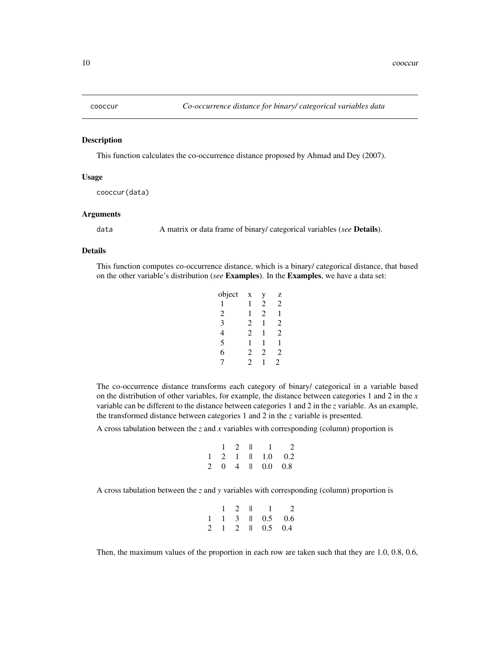<span id="page-9-1"></span><span id="page-9-0"></span>

#### Description

This function calculates the co-occurrence distance proposed by Ahmad and Dey (2007).

# Usage

cooccur(data)

# Arguments

data A matrix or data frame of binary/ categorical variables (*see* Details).

# Details

This function computes co-occurrence distance, which is a binary/ categorical distance, that based on the other variable's distribution (*see* Examples). In the Examples, we have a data set:

| object | X              | у              | Z |
|--------|----------------|----------------|---|
| 1      | 1              | 2              | 2 |
| 2      | 1              | 2              | 1 |
| 3      | 2              | 1              | 2 |
| 4      | $\mathfrak{D}$ | 1              | 2 |
| 5      | 1              | 1              | 1 |
| 6      | $\mathfrak{D}$ | $\mathfrak{D}$ | 2 |
| 7      | 2              |                | 2 |

The co-occurrence distance transforms each category of binary/ categorical in a variable based on the distribution of other variables, for example, the distance between categories 1 and 2 in the *x* variable can be different to the distance between categories 1 and 2 in the *z* variable. As an example, the transformed distance between categories 1 and 2 in the *z* variable is presented.

A cross tabulation between the *z* and *x* variables with corresponding (column) proportion is

$$
\begin{array}{ccccccccc}\n & 1 & 2 & \parallel & 1 & 2 \\
1 & 2 & 1 & \parallel & 1.0 & 0.2 \\
2 & 0 & 4 & \parallel & 0.0 & 0.8\n\end{array}
$$

A cross tabulation between the *z* and *y* variables with corresponding (column) proportion is

|  |  | $1 \quad 2 \quad 1 \quad 1 \quad 2$              |  |
|--|--|--------------------------------------------------|--|
|  |  | $1 \quad 1 \quad 3 \quad    \quad 0.5 \quad 0.6$ |  |
|  |  | 2 1 2 1 0.5 0.4                                  |  |

Then, the maximum values of the proportion in each row are taken such that they are 1.0, 0.8, 0.6,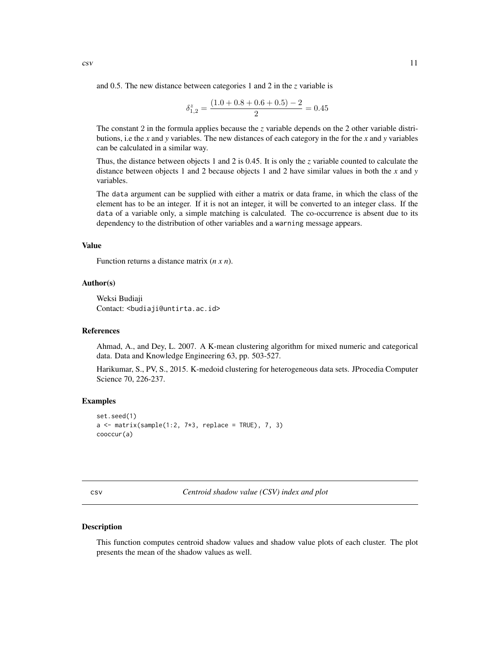<span id="page-10-0"></span>and 0.5. The new distance between categories 1 and 2 in the *z* variable is

$$
\delta_{1,2}^z = \frac{(1.0 + 0.8 + 0.6 + 0.5) - 2}{2} = 0.45
$$

The constant 2 in the formula applies because the *z* variable depends on the 2 other variable distributions, i.e the *x* and *y* variables. The new distances of each category in the for the *x* and *y* variables can be calculated in a similar way.

Thus, the distance between objects 1 and 2 is 0.45. It is only the *z* variable counted to calculate the distance between objects 1 and 2 because objects 1 and 2 have similar values in both the *x* and *y* variables.

The data argument can be supplied with either a matrix or data frame, in which the class of the element has to be an integer. If it is not an integer, it will be converted to an integer class. If the data of a variable only, a simple matching is calculated. The co-occurrence is absent due to its dependency to the distribution of other variables and a warning message appears.

# Value

Function returns a distance matrix (*n x n*).

# Author(s)

Weksi Budiaji Contact: <br/>budiaji@untirta.ac.id>

#### References

Ahmad, A., and Dey, L. 2007. A K-mean clustering algorithm for mixed numeric and categorical data. Data and Knowledge Engineering 63, pp. 503-527.

Harikumar, S., PV, S., 2015. K-medoid clustering for heterogeneous data sets. JProcedia Computer Science 70, 226-237.

# Examples

```
set.seed(1)
a \leq matrix(sample(1:2, 7*3, replace = TRUE), 7, 3)
cooccur(a)
```
csv *Centroid shadow value (CSV) index and plot*

#### Description

This function computes centroid shadow values and shadow value plots of each cluster. The plot presents the mean of the shadow values as well.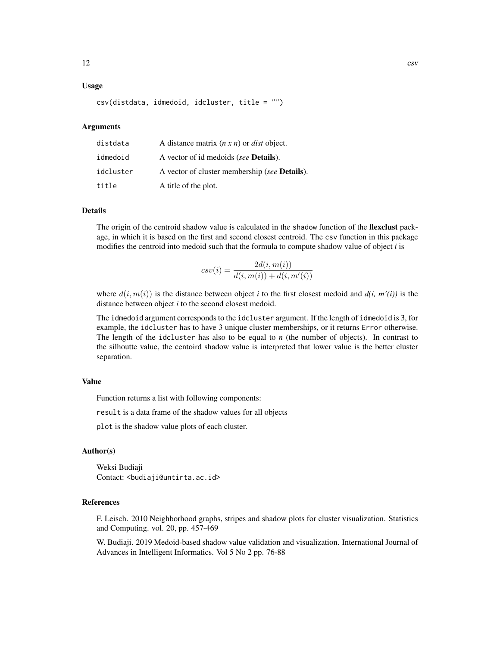# Usage

csv(distdata, idmedoid, idcluster, title = "")

# Arguments

| distdata  | A distance matrix $(n \times n)$ or <i>dist</i> object. |
|-----------|---------------------------------------------------------|
| idmedoid  | A vector of id medoids (see <b>Details</b> ).           |
| idcluster | A vector of cluster membership (see <b>Details</b> ).   |
| title     | A title of the plot.                                    |

# Details

The origin of the centroid shadow value is calculated in the shadow function of the **flexclust** package, in which it is based on the first and second closest centroid. The csv function in this package modifies the centroid into medoid such that the formula to compute shadow value of object *i* is

$$
csv(i) = \frac{2d(i, m(i))}{d(i, m(i)) + d(i, m'(i))}
$$

where  $d(i, m(i))$  is the distance between object *i* to the first closest medoid and  $d(i, m'(i))$  is the distance between object *i* to the second closest medoid.

The idmedoid argument corresponds to the idcluster argument. If the length of idmedoid is 3, for example, the idcluster has to have 3 unique cluster memberships, or it returns Error otherwise. The length of the idcluster has also to be equal to *n* (the number of objects). In contrast to the silhoutte value, the centoird shadow value is interpreted that lower value is the better cluster separation.

# Value

Function returns a list with following components:

result is a data frame of the shadow values for all objects

plot is the shadow value plots of each cluster.

# Author(s)

Weksi Budiaji Contact: <br/>budiaji@untirta.ac.id>

# References

F. Leisch. 2010 Neighborhood graphs, stripes and shadow plots for cluster visualization. Statistics and Computing. vol. 20, pp. 457-469

W. Budiaji. 2019 Medoid-based shadow value validation and visualization. International Journal of Advances in Intelligent Informatics. Vol 5 No 2 pp. 76-88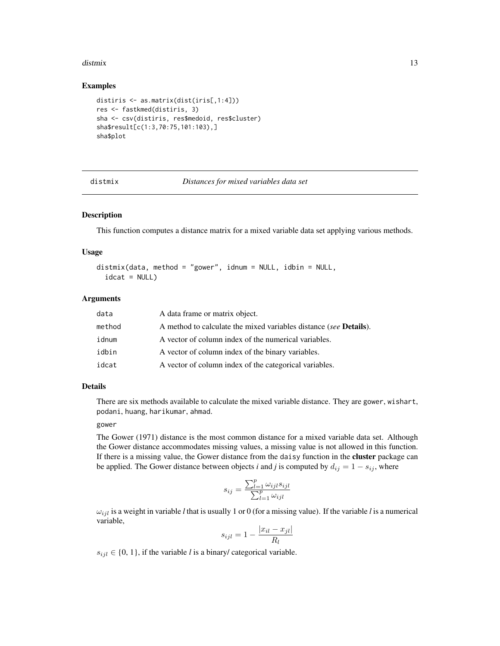#### <span id="page-12-0"></span>distmix and the contract of the contract of the contract of the contract of the contract of the contract of the contract of the contract of the contract of the contract of the contract of the contract of the contract of th

# Examples

```
distiris <- as.matrix(dist(iris[,1:4]))
res <- fastkmed(distiris, 3)
sha <- csv(distiris, res$medoid, res$cluster)
sha$result[c(1:3,70:75,101:103),]
sha$plot
```

| distmix |  |  |
|---------|--|--|
|         |  |  |

#### **Distances for mixed variables data set**

# **Description**

This function computes a distance matrix for a mixed variable data set applying various methods.

# Usage

distmix(data, method = "gower", idnum = NULL, idbin = NULL,  $idcat = NULL)$ 

# Arguments

| data   | A data frame or matrix object.                                            |
|--------|---------------------------------------------------------------------------|
| method | A method to calculate the mixed variables distance (see <b>Details</b> ). |
| idnum  | A vector of column index of the numerical variables.                      |
| idbin  | A vector of column index of the binary variables.                         |
| idcat  | A vector of column index of the categorical variables.                    |

# Details

There are six methods available to calculate the mixed variable distance. They are gower, wishart, podani, huang, harikumar, ahmad.

#### gower

The Gower (1971) distance is the most common distance for a mixed variable data set. Although the Gower distance accommodates missing values, a missing value is not allowed in this function. If there is a missing value, the Gower distance from the daisy function in the cluster package can be applied. The Gower distance between objects *i* and *j* is computed by  $d_{ij} = 1 - s_{ij}$ , where

$$
s_{ij} = \frac{\sum_{l=1}^{p} \omega_{ijl} s_{ijl}}{\sum_{l=1}^{p} \omega_{ijl}}
$$

 $\omega_{ijl}$  is a weight in variable *l* that is usually 1 or 0 (for a missing value). If the variable *l* is a numerical variable,

$$
s_{ijl} = 1 - \frac{|x_{il} - x_{jl}|}{R_l}
$$

 $s_{ijl} \in \{0, 1\}$ , if the variable *l* is a binary/ categorical variable.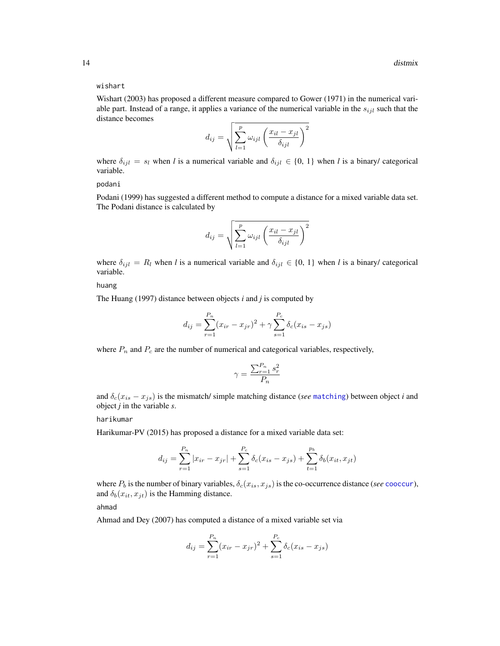### <span id="page-13-0"></span>wishart

Wishart (2003) has proposed a different measure compared to Gower (1971) in the numerical variable part. Instead of a range, it applies a variance of the numerical variable in the  $s_{ijl}$  such that the distance becomes

$$
d_{ij} = \sqrt{\sum_{l=1}^{p} \omega_{ijl} \left( \frac{x_{il} - x_{jl}}{\delta_{ijl}} \right)^2}
$$

where  $\delta_{ijl} = s_l$  when *l* is a numerical variable and  $\delta_{ijl} \in \{0, 1\}$  when *l* is a binary/ categorical variable.

podani

Podani (1999) has suggested a different method to compute a distance for a mixed variable data set. The Podani distance is calculated by

$$
d_{ij} = \sqrt{\sum_{l=1}^{p} \omega_{ijl} \left( \frac{x_{il} - x_{jl}}{\delta_{ijl}} \right)^2}
$$

where  $\delta_{ijl} = R_l$  when *l* is a numerical variable and  $\delta_{ijl} \in \{0, 1\}$  when *l* is a binary/ categorical variable.

huang

The Huang (1997) distance between objects *i* and *j* is computed by

$$
d_{ij} = \sum_{r=1}^{P_n} (x_{ir} - x_{jr})^2 + \gamma \sum_{s=1}^{P_c} \delta_c (x_{is} - x_{js})
$$

where  $P_n$  and  $P_c$  are the number of numerical and categorical variables, respectively,

$$
\gamma = \frac{\sum_{r=1}^{P_n} s_r^2}{P_n}
$$

and  $\delta_c(x_{is} - x_{js})$  is the mismatch/ simple [matching](#page-20-1) distance (*see* matching) between object *i* and object *j* in the variable *s*.

harikumar

Harikumar-PV (2015) has proposed a distance for a mixed variable data set:

$$
d_{ij} = \sum_{r=1}^{P_n} |x_{ir} - x_{jr}| + \sum_{s=1}^{P_c} \delta_c(x_{is} - x_{js}) + \sum_{t=1}^{p_b} \delta_b(x_{it}, x_{jt})
$$

where  $P_b$  is the number of binary variables,  $\delta_c(x_{is}, x_{is})$  is the co-occurrence distance (*see* [cooccur](#page-9-1)), and  $\delta_b(x_{it}, x_{jt})$  is the Hamming distance.

ahmad

Ahmad and Dey (2007) has computed a distance of a mixed variable set via

$$
d_{ij} = \sum_{r=1}^{P_n} (x_{ir} - x_{jr})^2 + \sum_{s=1}^{P_c} \delta_c (x_{is} - x_{js})
$$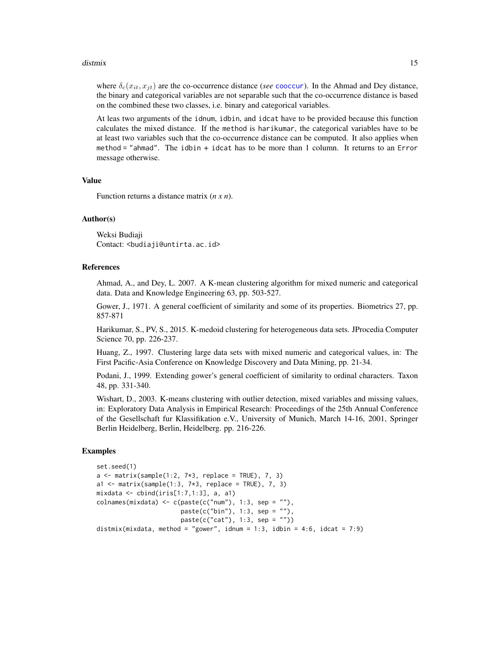#### <span id="page-14-0"></span>distmix and the contract of the contract of the contract of the contract of the contract of the contract of the contract of the contract of the contract of the contract of the contract of the contract of the contract of th

where  $\delta_c(x_{it}, x_{it})$  are the co-occurrence distance (*see* [cooccur](#page-9-1)). In the Ahmad and Dey distance, the binary and categorical variables are not separable such that the co-occurrence distance is based on the combined these two classes, i.e. binary and categorical variables.

At leas two arguments of the idnum, idbin, and idcat have to be provided because this function calculates the mixed distance. If the method is harikumar, the categorical variables have to be at least two variables such that the co-occurrence distance can be computed. It also applies when method = "ahmad". The idbin + idcat has to be more than 1 column. It returns to an Error message otherwise.

#### Value

Function returns a distance matrix (*n x n*).

# Author(s)

Weksi Budiaji Contact: <budiaji@untirta.ac.id>

# References

Ahmad, A., and Dey, L. 2007. A K-mean clustering algorithm for mixed numeric and categorical data. Data and Knowledge Engineering 63, pp. 503-527.

Gower, J., 1971. A general coefficient of similarity and some of its properties. Biometrics 27, pp. 857-871

Harikumar, S., PV, S., 2015. K-medoid clustering for heterogeneous data sets. JProcedia Computer Science 70, pp. 226-237.

Huang, Z., 1997. Clustering large data sets with mixed numeric and categorical values, in: The First Pacific-Asia Conference on Knowledge Discovery and Data Mining, pp. 21-34.

Podani, J., 1999. Extending gower's general coefficient of similarity to ordinal characters. Taxon 48, pp. 331-340.

Wishart, D., 2003. K-means clustering with outlier detection, mixed variables and missing values, in: Exploratory Data Analysis in Empirical Research: Proceedings of the 25th Annual Conference of the Gesellschaft fur Klassifikation e.V., University of Munich, March 14-16, 2001, Springer Berlin Heidelberg, Berlin, Heidelberg. pp. 216-226.

#### Examples

```
set.seed(1)
a \leq matrix(sample(1:2, 7 \times 3, replace = TRUE), 7, 3)
a1 \leq matrix(sample(1:3, 7*3, replace = TRUE), 7, 3)
mixdata <- cbind(iris[1:7,1:3], a, a1)
\text{colnames}(\text{mixed} <-\text{c}(\text{past}(\text{c}(\text{"num'}), 1:3, \text{sep} = \text{""\,}),paste(c("bin"), 1:3, sep = ""),
                           paste(c("cat"), 1:3, sep = ""))
distmix(mixdata, method = "gower", idnum = 1:3, idbin = 4:6, idcat = 7:9)
```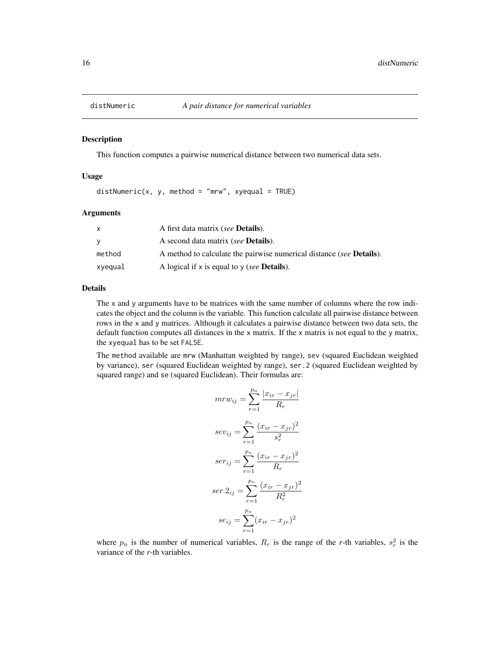<span id="page-15-0"></span>

# Description

This function computes a pairwise numerical distance between two numerical data sets.

# Usage

 $distNumberic(x, y, method = "mrw", xyequal = TRUE)$ 

# Arguments

|         | A first data matrix (see <b>Details</b> ).                                   |
|---------|------------------------------------------------------------------------------|
| v       | A second data matrix (see <b>Details</b> ).                                  |
| method  | A method to calculate the pairwise numerical distance (see <b>Details</b> ). |
| xyequal | A logical if x is equal to y (see <b>Details</b> ).                          |

#### Details

The x and y arguments have to be matrices with the same number of columns where the row indicates the object and the column is the variable. This function calculate all pairwise distance between rows in the x and y matrices. Although it calculates a pairwise distance between two data sets, the default function computes all distances in the x matrix. If the x matrix is not equal to the y matrix, the xyequal has to be set FALSE.

The method available are mrw (Manhattan weighted by range), sev (squared Euclidean weighted by variance), ser (squared Euclidean weighted by range), ser.2 (squared Euclidean weighted by squared range) and se (squared Euclidean). Their formulas are:

$$
mr{w_{ij}} = \sum_{r=1}^{p_n} \frac{|x_{ir} - x_{jr}|}{R_r}
$$

$$
se{v_{ij}} = \sum_{r=1}^{p_n} \frac{(x_{ir} - x_{jr})^2}{s_r^2}
$$

$$
ser_{ij} = \sum_{r=1}^{p_n} \frac{(x_{ir} - x_{jr})^2}{R_r}
$$

$$
ser.2_{ij} = \sum_{r=1}^{p_n} \frac{(x_{ir} - x_{jr})^2}{R_r^2}
$$

$$
se_{ij} = \sum_{r=1}^{p_n} (x_{ir} - x_{jr})^2
$$

where  $p_n$  is the number of numerical variables,  $R_r$  is the range of the *r*-th variables,  $s_r^2$  is the variance of the *r*-th variables.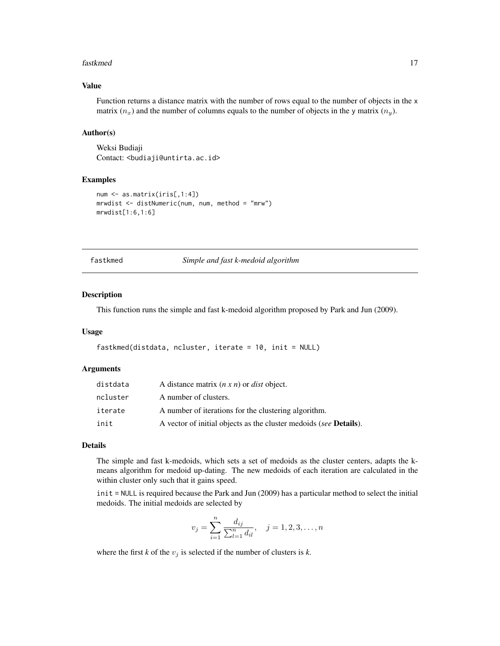#### <span id="page-16-0"></span>fastkmed the contract of the contract of the contract of the contract of the contract of the contract of the contract of the contract of the contract of the contract of the contract of the contract of the contract of the c

# Value

Function returns a distance matrix with the number of rows equal to the number of objects in the x matrix  $(n_x)$  and the number of columns equals to the number of objects in the y matrix  $(n_y)$ .

# Author(s)

Weksi Budiaji Contact: <br/>budiaji@untirta.ac.id>

# Examples

```
num <- as.matrix(iris[,1:4])
mrwdist <- distNumeric(num, num, method = "mrw")
mrwdist[1:6,1:6]
```
<span id="page-16-1"></span>fastkmed *Simple and fast k-medoid algorithm*

# **Description**

This function runs the simple and fast k-medoid algorithm proposed by Park and Jun (2009).

# Usage

```
fastkmed(distdata, ncluster, iterate = 10, init = NULL)
```
# Arguments

| distdata | A distance matrix $(n \times n)$ or <i>dist</i> object.                   |
|----------|---------------------------------------------------------------------------|
| ncluster | A number of clusters.                                                     |
| iterate  | A number of iterations for the clustering algorithm.                      |
| init     | A vector of initial objects as the cluster medoids (see <b>Details</b> ). |

# Details

The simple and fast k-medoids, which sets a set of medoids as the cluster centers, adapts the kmeans algorithm for medoid up-dating. The new medoids of each iteration are calculated in the within cluster only such that it gains speed.

init = NULL is required because the Park and Jun (2009) has a particular method to select the initial medoids. The initial medoids are selected by

$$
v_j = \sum_{i=1}^n \frac{d_{ij}}{\sum_{l=1}^n d_{il}}, \quad j = 1, 2, 3, \dots, n
$$

where the first  $k$  of the  $v_i$  is selected if the number of clusters is  $k$ .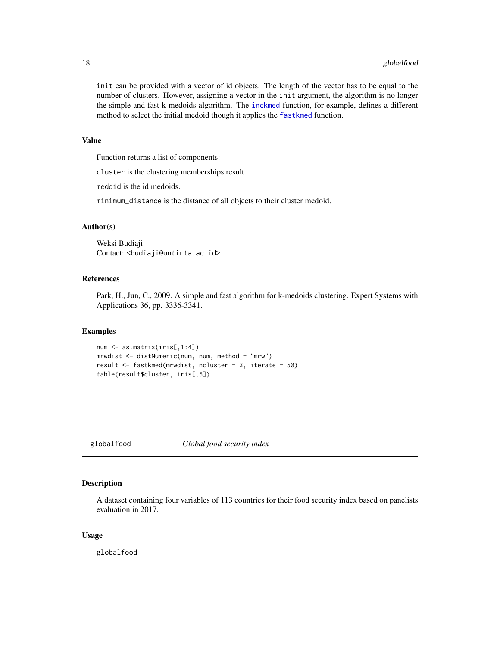<span id="page-17-0"></span>init can be provided with a vector of id objects. The length of the vector has to be equal to the number of clusters. However, assigning a vector in the init argument, the algorithm is no longer the simple and fast k-medoids algorithm. The [inckmed](#page-19-1) function, for example, defines a different method to select the initial medoid though it applies the [fastkmed](#page-16-1) function.

# Value

Function returns a list of components:

cluster is the clustering memberships result.

medoid is the id medoids.

minimum\_distance is the distance of all objects to their cluster medoid.

# Author(s)

Weksi Budiaji Contact: <br/>budiaji@untirta.ac.id>

# References

Park, H., Jun, C., 2009. A simple and fast algorithm for k-medoids clustering. Expert Systems with Applications 36, pp. 3336-3341.

# Examples

```
num <- as.matrix(iris[,1:4])
mrwdist <- distNumeric(num, num, method = "mrw")
result <- fastkmed(mrwdist, ncluster = 3, iterate = 50)
table(result$cluster, iris[,5])
```
globalfood *Global food security index*

# Description

A dataset containing four variables of 113 countries for their food security index based on panelists evaluation in 2017.

#### Usage

globalfood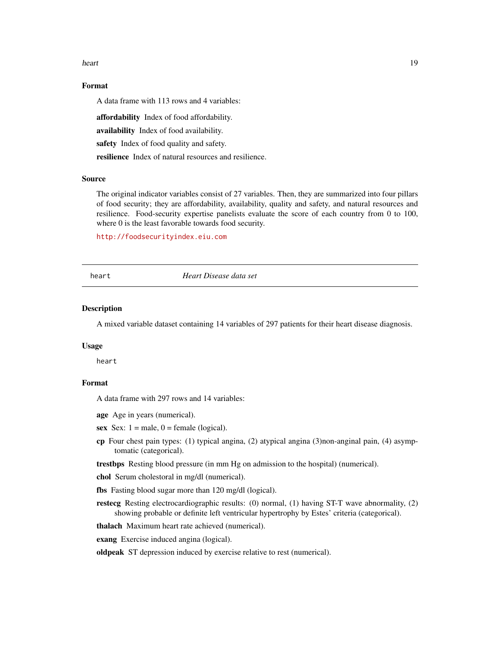#### <span id="page-18-0"></span>heart 19

# Format

A data frame with 113 rows and 4 variables:

affordability Index of food affordability.

availability Index of food availability.

safety Index of food quality and safety.

resilience Index of natural resources and resilience.

# Source

The original indicator variables consist of 27 variables. Then, they are summarized into four pillars of food security; they are affordability, availability, quality and safety, and natural resources and resilience. Food-security expertise panelists evaluate the score of each country from 0 to 100, where 0 is the least favorable towards food security.

<http://foodsecurityindex.eiu.com>

#### heart *Heart Disease data set*

# Description

A mixed variable dataset containing 14 variables of 297 patients for their heart disease diagnosis.

# Usage

heart

# Format

A data frame with 297 rows and 14 variables:

age Age in years (numerical).

- sex Sex:  $1 =$  male,  $0 =$  female (logical).
- cp Four chest pain types: (1) typical angina, (2) atypical angina (3)non-anginal pain, (4) asymptomatic (categorical).

trestbps Resting blood pressure (in mm Hg on admission to the hospital) (numerical).

chol Serum cholestoral in mg/dl (numerical).

fbs Fasting blood sugar more than 120 mg/dl (logical).

restecg Resting electrocardiographic results: (0) normal, (1) having ST-T wave abnormality, (2) showing probable or definite left ventricular hypertrophy by Estes' criteria (categorical).

thalach Maximum heart rate achieved (numerical).

exang Exercise induced angina (logical).

oldpeak ST depression induced by exercise relative to rest (numerical).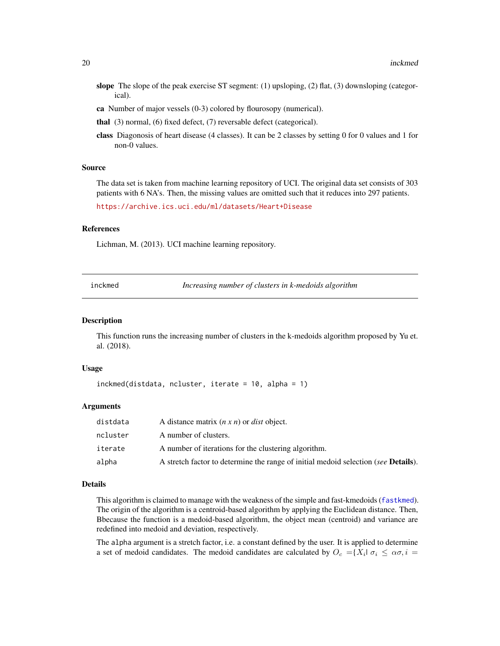- <span id="page-19-0"></span>slope The slope of the peak exercise ST segment:  $(1)$  upsloping,  $(2)$  flat,  $(3)$  downsloping (categorical).
- ca Number of major vessels (0-3) colored by flourosopy (numerical).
- thal (3) normal, (6) fixed defect, (7) reversable defect (categorical).
- class Diagonosis of heart disease (4 classes). It can be 2 classes by setting 0 for 0 values and 1 for non-0 values.

#### Source

The data set is taken from machine learning repository of UCI. The original data set consists of 303 patients with 6 NA's. Then, the missing values are omitted such that it reduces into 297 patients.

<https://archive.ics.uci.edu/ml/datasets/Heart+Disease>

# References

Lichman, M. (2013). UCI machine learning repository.

<span id="page-19-1"></span>

|  | inckmed | Increasing number of clusters in k-medoids algorithm |
|--|---------|------------------------------------------------------|
|--|---------|------------------------------------------------------|

# Description

This function runs the increasing number of clusters in the k-medoids algorithm proposed by Yu et. al. (2018).

# Usage

```
inckmed(distdata, ncluster, iterate = 10, alpha = 1)
```
# Arguments

| distdata | A distance matrix $(n \times n)$ or <i>dist</i> object.                                    |
|----------|--------------------------------------------------------------------------------------------|
| ncluster | A number of clusters.                                                                      |
| iterate  | A number of iterations for the clustering algorithm.                                       |
| alpha    | A stretch factor to determine the range of initial medoid selection (see <b>Details</b> ). |

#### Details

This algorithm is claimed to manage with the weakness of the simple and fast-kmedoids ([fastkmed](#page-16-1)). The origin of the algorithm is a centroid-based algorithm by applying the Euclidean distance. Then, Bbecause the function is a medoid-based algorithm, the object mean (centroid) and variance are redefined into medoid and deviation, respectively.

The alpha argument is a stretch factor, i.e. a constant defined by the user. It is applied to determine a set of medoid candidates. The medoid candidates are calculated by  $O_c = \{X_i | \sigma_i \leq \alpha \sigma, i =$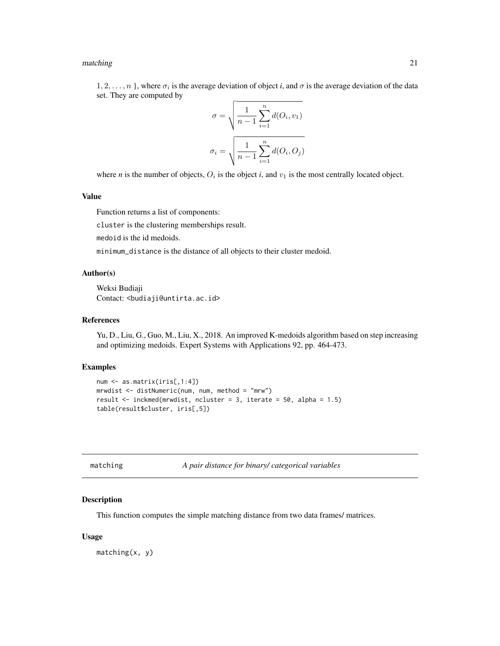#### <span id="page-20-0"></span>matching 21

 $1, 2, \ldots, n$ , where  $\sigma_i$  is the average deviation of object *i*, and  $\sigma$  is the average deviation of the data set. They are computed by

$$
\sigma = \sqrt{\frac{1}{n-1} \sum_{i=1}^{n} d(O_i, v_1)}
$$

$$
\sigma_i = \sqrt{\frac{1}{n-1} \sum_{i=1}^{n} d(O_i, O_j)}
$$

where *n* is the number of objects,  $O_i$  is the object *i*, and  $v_1$  is the most centrally located object.

# Value

Function returns a list of components:

cluster is the clustering memberships result.

medoid is the id medoids.

minimum\_distance is the distance of all objects to their cluster medoid.

# Author(s)

Weksi Budiaji Contact: <br/>budiaji@untirta.ac.id>

# References

Yu, D., Liu, G., Guo, M., Liu, X., 2018. An improved K-medoids algorithm based on step increasing and optimizing medoids. Expert Systems with Applications 92, pp. 464-473.

# Examples

```
num <- as.matrix(iris[,1:4])
mrwdist <- distNumeric(num, num, method = "mrw")
result <- inckmed(mrwdist, ncluster = 3, iterate = 50, alpha = 1.5)
table(result$cluster, iris[,5])
```
<span id="page-20-1"></span>

|  | matching |  |  |  |
|--|----------|--|--|--|
|--|----------|--|--|--|

A pair distance for binary/ categorical variables

# Description

This function computes the simple matching distance from two data frames/ matrices.

# Usage

matching(x, y)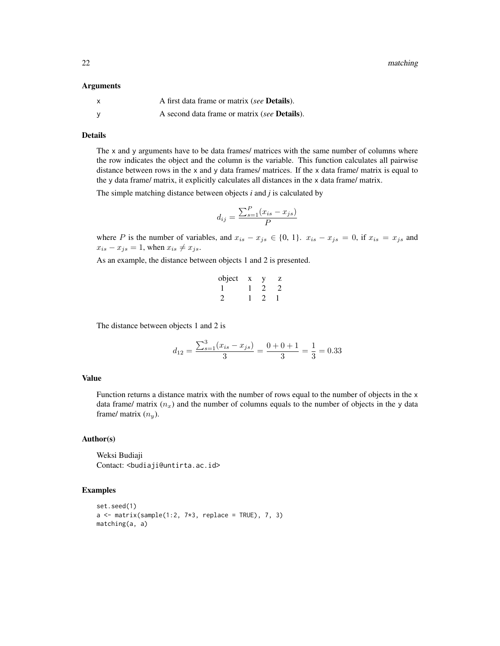22 matching and the contract of the contract of the contract of the contract of the contract of the contract of the contract of the contract of the contract of the contract of the contract of the contract of the contract o

#### Arguments

| X | A first data frame or matrix (see <b>Details</b> ).  |
|---|------------------------------------------------------|
|   | A second data frame or matrix (see <b>Details</b> ). |

# Details

The x and y arguments have to be data frames/ matrices with the same number of columns where the row indicates the object and the column is the variable. This function calculates all pairwise distance between rows in the x and y data frames/ matrices. If the x data frame/ matrix is equal to the y data frame/ matrix, it explicitly calculates all distances in the x data frame/ matrix.

The simple matching distance between objects *i* and *j* is calculated by

$$
d_{ij} = \frac{\sum_{s=1}^{P} (x_{is} - x_{js})}{P}
$$

where P is the number of variables, and  $x_{is} - x_{js} \in \{0, 1\}$ .  $x_{is} - x_{js} = 0$ , if  $x_{is} = x_{js}$  and  $x_{is} - x_{js} = 1$ , when  $x_{is} \neq x_{js}$ .

As an example, the distance between objects 1 and 2 is presented.

| object | x | 7. |
|--------|---|----|
|        |   |    |
|        |   |    |

The distance between objects 1 and 2 is

$$
d_{12} = \frac{\sum_{s=1}^{3} (x_{is} - x_{js})}{3} = \frac{0 + 0 + 1}{3} = \frac{1}{3} = 0.33
$$

# Value

Function returns a distance matrix with the number of rows equal to the number of objects in the x data frame/ matrix  $(n_x)$  and the number of columns equals to the number of objects in the y data frame/ matrix  $(n<sub>y</sub>)$ .

## Author(s)

Weksi Budiaji Contact: <br/>budiaji@untirta.ac.id>

# Examples

```
set.seed(1)
a \leq matrix(sample(1:2, 7*3, replace = TRUE), 7, 3)
matching(a, a)
```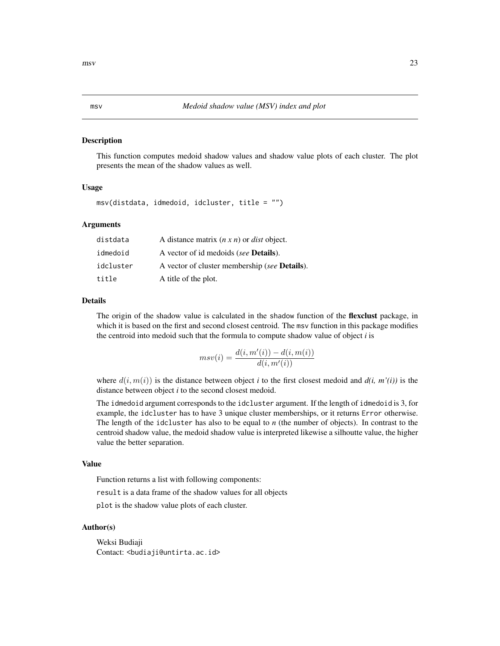#### <span id="page-22-0"></span>Description

This function computes medoid shadow values and shadow value plots of each cluster. The plot presents the mean of the shadow values as well.

# Usage

msv(distdata, idmedoid, idcluster, title = "")

# Arguments

| distdata  | A distance matrix $(n \times n)$ or <i>dist</i> object. |
|-----------|---------------------------------------------------------|
| idmedoid  | A vector of id medoids (see <b>Details</b> ).           |
| idcluster | A vector of cluster membership (see <b>Details</b> ).   |
| title     | A title of the plot.                                    |

# Details

The origin of the shadow value is calculated in the shadow function of the **flexclust** package, in which it is based on the first and second closest centroid. The msv function in this package modifies the centroid into medoid such that the formula to compute shadow value of object *i* is

$$
msv(i) = \frac{d(i, m'(i)) - d(i, m(i))}{d(i, m'(i))}
$$

where  $d(i, m(i))$  is the distance between object *i* to the first closest medoid and  $d(i, m'(i))$  is the distance between object *i* to the second closest medoid.

The idmedoid argument corresponds to the idcluster argument. If the length of idmedoid is 3, for example, the idcluster has to have 3 unique cluster memberships, or it returns Error otherwise. The length of the idcluster has also to be equal to *n* (the number of objects). In contrast to the centroid shadow value, the medoid shadow value is interpreted likewise a silhoutte value, the higher value the better separation.

#### Value

Function returns a list with following components:

result is a data frame of the shadow values for all objects

plot is the shadow value plots of each cluster.

#### Author(s)

Weksi Budiaji Contact: <br/>budiaji@untirta.ac.id>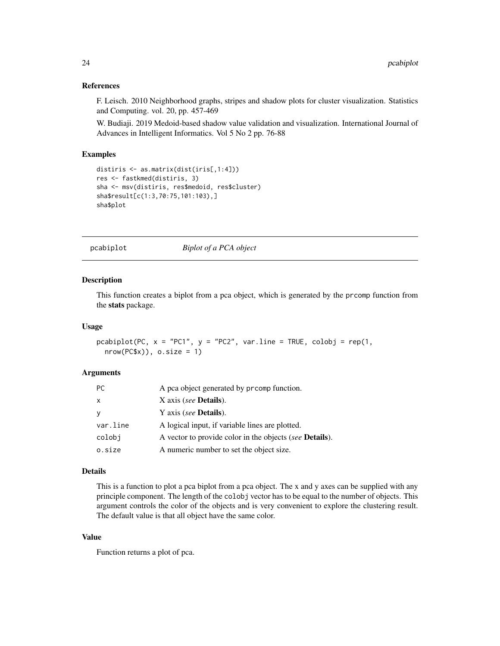# <span id="page-23-0"></span>References

F. Leisch. 2010 Neighborhood graphs, stripes and shadow plots for cluster visualization. Statistics and Computing. vol. 20, pp. 457-469

W. Budiaji. 2019 Medoid-based shadow value validation and visualization. International Journal of Advances in Intelligent Informatics. Vol 5 No 2 pp. 76-88

# Examples

```
distiris <- as.matrix(dist(iris[,1:4]))
res <- fastkmed(distiris, 3)
sha <- msv(distiris, res$medoid, res$cluster)
sha$result[c(1:3,70:75,101:103),]
sha$plot
```
pcabiplot *Biplot of a PCA object*

#### Description

This function creates a biplot from a pca object, which is generated by the prcomp function from the stats package.

# Usage

```
pcabiplot(PC, x = "PC1", y = "PC2", var(line = TRUE, colobj = rep(1,nrow(PC$x)), o.size = 1)
```
# Arguments

| PC.          | A pca object generated by prcomp function.                      |
|--------------|-----------------------------------------------------------------|
| $\mathsf{x}$ | X axis (see <b>Details</b> ).                                   |
| y            | Y axis (see <b>Details</b> ).                                   |
| var.line     | A logical input, if variable lines are plotted.                 |
| colobi       | A vector to provide color in the objects (see <b>Details</b> ). |
| o.size       | A numeric number to set the object size.                        |

# Details

This is a function to plot a pca biplot from a pca object. The x and y axes can be supplied with any principle component. The length of the colobj vector has to be equal to the number of objects. This argument controls the color of the objects and is very convenient to explore the clustering result. The default value is that all object have the same color.

# Value

Function returns a plot of pca.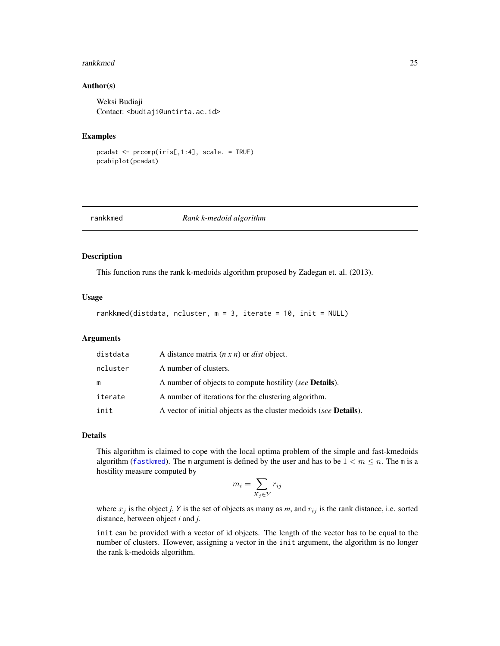#### <span id="page-24-0"></span>rankkmed 25

# Author(s)

Weksi Budiaji Contact: <br/>budiaji@untirta.ac.id>

#### Examples

pcadat <- prcomp(iris[,1:4], scale. = TRUE) pcabiplot(pcadat)

#### rankkmed *Rank k-medoid algorithm*

# Description

This function runs the rank k-medoids algorithm proposed by Zadegan et. al. (2013).

#### Usage

```
rankkmed(distdata, ncluster, m = 3, iterate = 10, init = NULL)
```
## Arguments

| distdata | A distance matrix $(n \times n)$ or <i>dist</i> object.                   |
|----------|---------------------------------------------------------------------------|
| ncluster | A number of clusters.                                                     |
| m        | A number of objects to compute hostility (see <b>Details</b> ).           |
| iterate  | A number of iterations for the clustering algorithm.                      |
| init     | A vector of initial objects as the cluster medoids (see <b>Details</b> ). |

# Details

This algorithm is claimed to cope with the local optima problem of the simple and fast-kmedoids algorithm ([fastkmed](#page-16-1)). The m argument is defined by the user and has to be  $1 < m \le n$ . The m is a hostility measure computed by

$$
m_i = \sum_{X_j \in Y} r_{ij}
$$

where  $x_j$  is the object *j*, *Y* is the set of objects as many as *m*, and  $r_{ij}$  is the rank distance, i.e. sorted distance, between object *i* and *j*.

init can be provided with a vector of id objects. The length of the vector has to be equal to the number of clusters. However, assigning a vector in the init argument, the algorithm is no longer the rank k-medoids algorithm.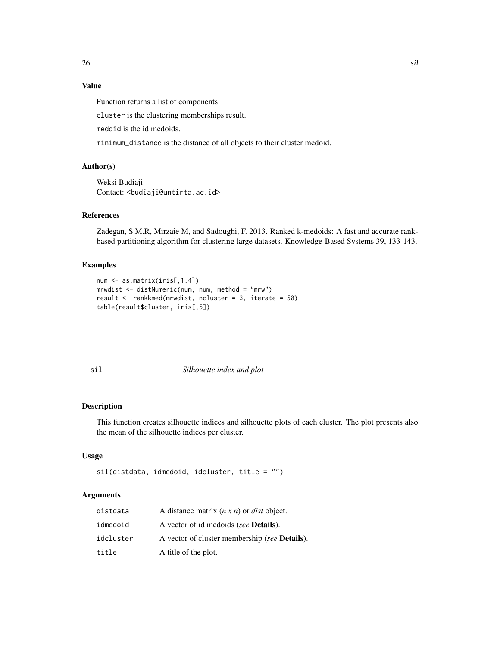# <span id="page-25-0"></span>Value

Function returns a list of components:

cluster is the clustering memberships result.

medoid is the id medoids.

minimum\_distance is the distance of all objects to their cluster medoid.

# Author(s)

Weksi Budiaji Contact: <br/>budiaji@untirta.ac.id>

# References

Zadegan, S.M.R, Mirzaie M, and Sadoughi, F. 2013. Ranked k-medoids: A fast and accurate rankbased partitioning algorithm for clustering large datasets. Knowledge-Based Systems 39, 133-143.

# Examples

```
num <- as.matrix(iris[,1:4])
mrwdist <- distNumeric(num, num, method = "mrw")
result <- rankkmed(mrwdist, ncluster = 3, iterate = 50)
table(result$cluster, iris[,5])
```
sil *Silhouette index and plot*

# Description

This function creates silhouette indices and silhouette plots of each cluster. The plot presents also the mean of the silhouette indices per cluster.

# Usage

```
sil(distdata, idmedoid, idcluster, title = "")
```
# Arguments

| distdata  | A distance matrix $(n \times n)$ or <i>dist</i> object. |
|-----------|---------------------------------------------------------|
| idmedoid  | A vector of id medoids (see <b>Details</b> ).           |
| idcluster | A vector of cluster membership (see <b>Details</b> ).   |
| title     | A title of the plot.                                    |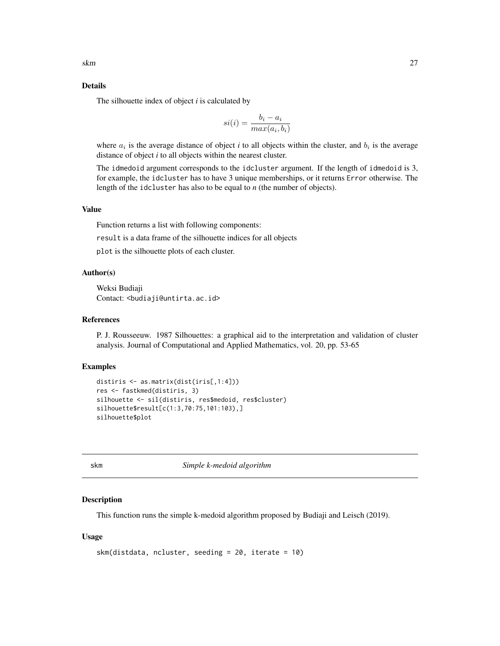# <span id="page-26-0"></span>Details

The silhouette index of object *i* is calculated by

$$
si(i) = \frac{b_i - a_i}{max(a_i, b_i)}
$$

where  $a_i$  is the average distance of object *i* to all objects within the cluster, and  $b_i$  is the average distance of object *i* to all objects within the nearest cluster.

The idmedoid argument corresponds to the idcluster argument. If the length of idmedoid is 3, for example, the idcluster has to have 3 unique memberships, or it returns Error otherwise. The length of the idcluster has also to be equal to *n* (the number of objects).

# Value

Function returns a list with following components:

result is a data frame of the silhouette indices for all objects

plot is the silhouette plots of each cluster.

# Author(s)

Weksi Budiaji Contact: <br/>budiaji@untirta.ac.id>

# References

P. J. Rousseeuw. 1987 Silhouettes: a graphical aid to the interpretation and validation of cluster analysis. Journal of Computational and Applied Mathematics, vol. 20, pp. 53-65

#### Examples

```
distiris <- as.matrix(dist(iris[,1:4]))
res <- fastkmed(distiris, 3)
silhouette <- sil(distiris, res$medoid, res$cluster)
silhouette$result[c(1:3,70:75,101:103),]
silhouette$plot
```
skm *Simple k-medoid algorithm*

## Description

This function runs the simple k-medoid algorithm proposed by Budiaji and Leisch (2019).

# Usage

```
skm(distdata, ncluster, seeding = 20, iterate = 10)
```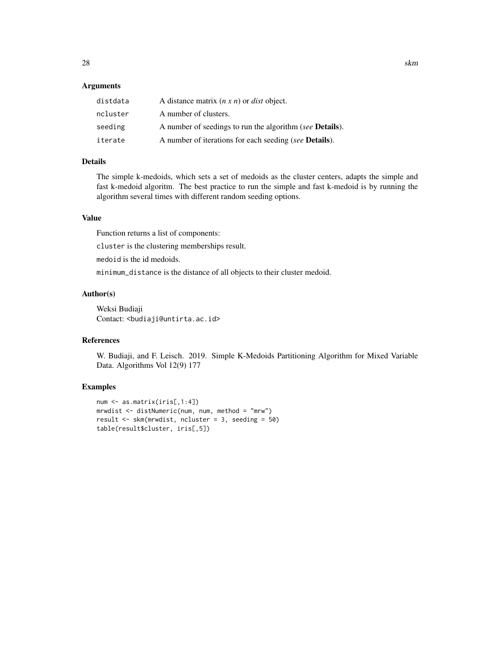# Arguments

| distdata | A distance matrix $(n \times n)$ or <i>dist</i> object.          |
|----------|------------------------------------------------------------------|
| ncluster | A number of clusters.                                            |
| seeding  | A number of seedings to run the algorithm (see <b>Details</b> ). |
| iterate  | A number of iterations for each seeding (see <b>Details</b> ).   |

# Details

The simple k-medoids, which sets a set of medoids as the cluster centers, adapts the simple and fast k-medoid algoritm. The best practice to run the simple and fast k-medoid is by running the algorithm several times with different random seeding options.

# Value

Function returns a list of components:

cluster is the clustering memberships result.

medoid is the id medoids.

minimum\_distance is the distance of all objects to their cluster medoid.

# Author(s)

Weksi Budiaji Contact: <br/>budiaji@untirta.ac.id>

# References

W. Budiaji, and F. Leisch. 2019. Simple K-Medoids Partitioning Algorithm for Mixed Variable Data. Algorithms Vol 12(9) 177

# Examples

```
num <- as.matrix(iris[,1:4])
mrwdist <- distNumeric(num, num, method = "mrw")
result <- skm(mrwdist, ncluster = 3, seeding = 50)
table(result$cluster, iris[,5])
```